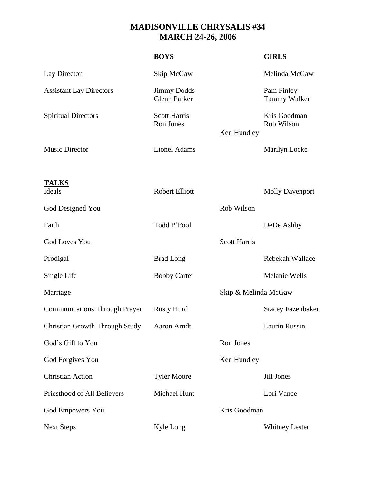## **MADISONVILLE CHRYSALIS #34 MARCH 24-26, 2006**

| <b>BOYS</b>                               |                      | <b>GIRLS</b>               |
|-------------------------------------------|----------------------|----------------------------|
| Skip McGaw                                |                      | Melinda McGaw              |
| <b>Jimmy Dodds</b><br><b>Glenn Parker</b> |                      | Pam Finley<br>Tammy Walker |
| <b>Scott Harris</b><br>Ron Jones          | Ken Hundley          | Kris Goodman<br>Rob Wilson |
| <b>Lionel Adams</b>                       |                      | Marilyn Locke              |
| <b>Robert Elliott</b>                     |                      | <b>Molly Davenport</b>     |
|                                           | Rob Wilson           |                            |
| Todd P'Pool                               |                      | DeDe Ashby                 |
|                                           | <b>Scott Harris</b>  |                            |
| <b>Brad Long</b>                          |                      | Rebekah Wallace            |
| <b>Bobby Carter</b>                       |                      | Melanie Wells              |
|                                           | Skip & Melinda McGaw |                            |
| <b>Rusty Hurd</b>                         |                      | <b>Stacey Fazenbaker</b>   |
| Aaron Arndt                               |                      | Laurin Russin              |
|                                           | Ron Jones            |                            |
|                                           | Ken Hundley          |                            |
| <b>Tyler Moore</b>                        |                      | Jill Jones                 |
| Michael Hunt                              |                      | Lori Vance                 |
|                                           |                      |                            |
| Kyle Long                                 |                      | <b>Whitney Lester</b>      |
|                                           |                      | Kris Goodman               |